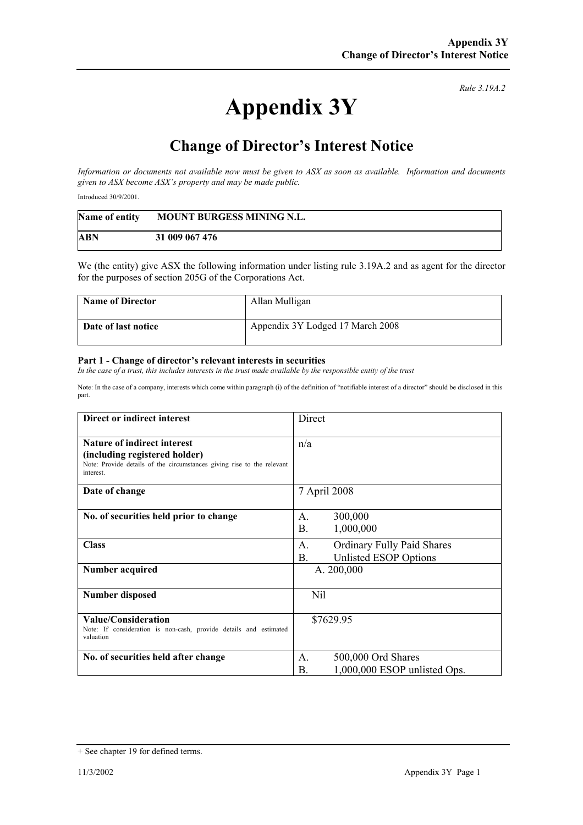## **Appendix 3Y**

*Rule 3.19A.2*

## **Change of Director's Interest Notice**

*Information or documents not available now must be given to ASX as soon as available. Information and documents given to ASX become ASX's property and may be made public.* 

Introduced 30/9/2001.

| Name of entity | MOUNT BURGESS MINING N.L. |
|----------------|---------------------------|
| ABN            | 31 009 067 476            |

We (the entity) give ASX the following information under listing rule 3.19A.2 and as agent for the director for the purposes of section 205G of the Corporations Act.

| <b>Name of Director</b> | Allan Mulligan                   |
|-------------------------|----------------------------------|
| Date of last notice     | Appendix 3Y Lodged 17 March 2008 |

## **Part 1 - Change of director's relevant interests in securities**

In the case of a trust, this includes interests in the trust made available by the responsible entity of the trust

Note: In the case of a company, interests which come within paragraph (i) of the definition of "notifiable interest of a director" should be disclosed in this part.

| Direct or indirect interest                                                                                                                                | Direct                                                                                 |
|------------------------------------------------------------------------------------------------------------------------------------------------------------|----------------------------------------------------------------------------------------|
| <b>Nature of indirect interest</b><br>(including registered holder)<br>Note: Provide details of the circumstances giving rise to the relevant<br>interest. | n/a                                                                                    |
| Date of change                                                                                                                                             | 7 April 2008                                                                           |
| No. of securities held prior to change                                                                                                                     | 300,000<br>$\mathsf{A}$ .<br>B <sub>1</sub><br>1,000,000                               |
| <b>Class</b>                                                                                                                                               | <b>Ordinary Fully Paid Shares</b><br>$A_{\cdot}$<br><b>B.</b><br>Unlisted ESOP Options |
| Number acquired                                                                                                                                            | A. 200,000                                                                             |
| <b>Number disposed</b>                                                                                                                                     | Nil                                                                                    |
| Value/Consideration<br>Note: If consideration is non-cash, provide details and estimated<br>valuation                                                      | \$7629.95                                                                              |
| No. of securities held after change                                                                                                                        | 500,000 Ord Shares<br>$\mathsf{A}$ .<br>1,000,000 ESOP unlisted Ops.<br>Β.             |

<sup>+</sup> See chapter 19 for defined terms.